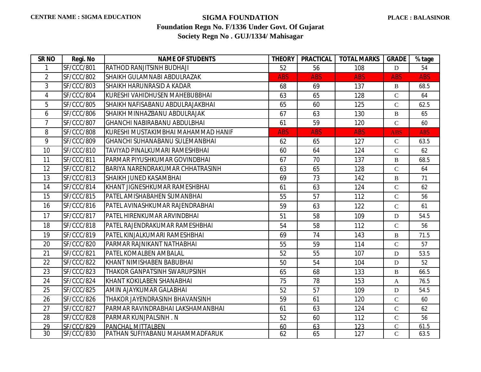| SR <sub>NO</sub> | Regi. No          | <b>NAME OF STUDENTS</b>               | <b>THEORY</b> | <b>PRACTICAL</b> | <b>TOTAL MARKS</b> | <b>GRADE</b>  | % tage     |
|------------------|-------------------|---------------------------------------|---------------|------------------|--------------------|---------------|------------|
| 1                | SF/CCC/801        | <b>RATHOD RANJITSINH BUDHAJI</b>      | 52            | 56               | 108                | D             | 54         |
| $\overline{2}$   | SF/CCC/802        | SHAIKH GULAMNABI ABDULRAZAK           | <b>ABS</b>    | <b>ABS</b>       | <b>ABS</b>         | <b>ABS</b>    | <b>ABS</b> |
| 3                | SF/CCC/803        | <b>SHAIKH HARUNRASID A KADAR</b>      | 68            | 69               | 137                | B             | 68.5       |
| 4                | SF/CCC/804        | KURESHI VAHIDHUSEN MAHEBUBBHAI        | 63            | 65               | 128                | $\mathbf C$   | 64         |
| 5                | SF/CCC/805        | İSHAIKH NAFISABANU ABDULRAJAKBHAI     | 65            | 60               | 125                | $\mathsf{C}$  | 62.5       |
| 6                | SF/CCC/806        | SHAIKH MINHAZBANU ABDULRAJAK          | 67            | 63               | 130                | $\, {\bf B}$  | 65         |
| $\overline{7}$   | SF/CCC/807        | <b>GHANCHI NABIRABANU ABDULBHAI</b>   | 61            | 59               | 120                | $\mathsf{C}$  | 60         |
| 8                | SF/CCC/808        | KURESHI MUSTAKIMBHAI MAHAMMAD HANIF   | <b>ABS</b>    | <b>ABS</b>       | <b>ABS</b>         | <b>ABS</b>    | <b>ABS</b> |
| 9                | SF/CCC/809        | <b>GHANCHI SUHANABANU SULEMANBHAI</b> | 62            | 65               | 127                | $\mathbf C$   | 63.5       |
| 10               | SF/CCC/810        | TAVIYAD PINALKUMARI RAMESHBHAI        | 60            | 64               | 124                | $\mathbf C$   | 62         |
| 11               | SF/CCC/811        | PARMAR PIYUSHKUMAR GOVINDBHAI         | 67            | 70               | 137                | $\mathbf{B}$  | 68.5       |
| 12               | SF/CCC/812        | BARIYA NARENDRAKUMAR CHHATRASINH      | 63            | 65               | 128                | $\mathsf{C}$  | 64         |
| 13               | SF/CCC/813        | <b>SHAIKH JUNED KASAMBHAI</b>         | 69            | 73               | 142                | $\, {\bf B}$  | 71         |
| 14               | SF/CCC/814        | KHANT JIGNESHKUMAR RAMESHBHAI         | 61            | 63               | 124                | $\mathsf{C}$  | 62         |
| 15               | <b>SF/CCC/815</b> | PATEL AMISHABAHEN SUMANBHAI           | 55            | 57               | 112                | $\mathbf C$   | 56         |
| 16               | SF/CCC/816        | PATEL AVINASHKUMAR RAJENDRABHAI       | 59            | 63               | 122                | $\mathsf{C}$  | 61         |
| 17               | SF/CCC/817        | <b>PATEL HIRENKUMAR ARVINDBHAI</b>    | 51            | 58               | 109                | D             | 54.5       |
| 18               | SF/CCC/818        | <b>PATEL RAJENDRAKUMAR RAMESHBHAI</b> | 54            | 58               | 112                | $\mathsf{C}$  | 56         |
| 19               | SF/CCC/819        | <b>PATEL KINJALKUMARI RAMESHBHAI</b>  | 69            | 74               | 143                | B             | 71.5       |
| 20               | SF/CCC/820        | PARMAR RAJNIKANT NATHABHAI            | 55            | 59               | 114                | $\mathsf{C}$  | 57         |
| 21               | SF/CCC/821        | <b>PATEL KOMALBEN AMBALAL</b>         | 52            | 55               | 107                | D             | 53.5       |
| 22               | <b>SF/CCC/822</b> | KHANT NIMISHABEN BABUBHAI             | 50            | 54               | 104                | D             | 52         |
| 23               | SF/CCC/823        | THAKOR GANPATSINH SWARUPSINH          | 65            | 68               | 133                | B             | 66.5       |
| 24               | SF/CCC/824        | KHANT KOKILABEN SHANABHAI             | 75            | 78               | 153                | $\mathbf{A}$  | 76.5       |
| 25               | <b>SF/CCC/825</b> | AMIN AJAYKUMAR GALABHAI               | 52            | 57               | 109                | D             | 54.5       |
| 26               | SF/CCC/826        | THAKOR JAYENDRASINH BHAVANSINH        | 59            | 61               | 120                | $\mathbf C$   | 60         |
| 27               | SF/CCC/827        | PARMAR RAVINDRABHAI LAKSHAMANBHAI     | 61            | 63               | 124                | $\mathsf{C}$  | 62         |
| 28               | SF/CCC/828        | PARMAR KUNJPALSINH. N                 | 52            | 60               | 112                | $\mathbf C$   | 56         |
| 29               | SF/CCC/829        | PANCHAL MITTALBEN                     | 60            | 63               | 123                | $\mathsf{C}$  | 61.5       |
| 30               | SF/CCC/830        | PATHAN SUFIYABANU MAHAMMADFARUK       | 62            | 65               | 127                | $\mathcal{C}$ | 63.5       |